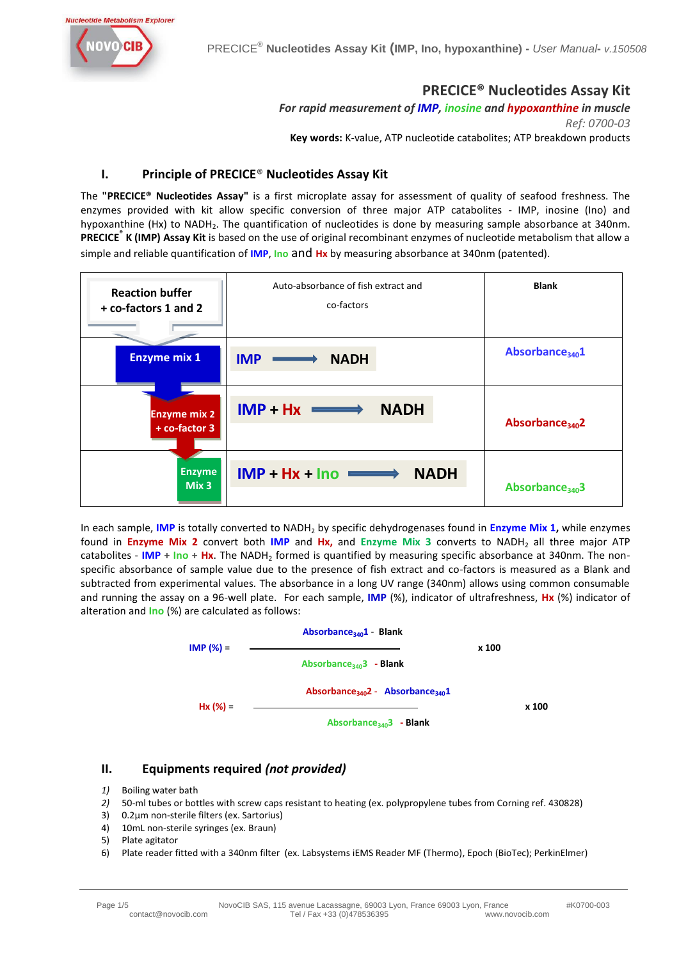

## **PRECICE® Nucleotides Assay Kit**

*For rapid measurement of IMP, inosine and hypoxanthine in muscle Ref: 0700-03*

**Key words:** K-value, ATP nucleotide catabolites; ATP breakdown products

## **I. Principle of PRECICE**® **Nucleotides Assay Kit**

The **"PRECICE® Nucleotides Assay"** is a first microplate assay for assessment of quality of seafood freshness. The enzymes provided with kit allow specific conversion of three major ATP catabolites - IMP, inosine (Ino) and hypoxanthine (Hx) to NADH<sub>2</sub>. The quantification of nucleotides is done by measuring sample absorbance at 340nm. **PRECICE® K (IMP) Assay Kit** is based on the use of original recombinant enzymes of nucleotide metabolism that allow a simple and reliable quantification of **IMP**, **Ino** and **Hx** by measuring absorbance at 340nm (patented).

| <b>Reaction buffer</b><br>+ co-factors 1 and 2 | Auto-absorbance of fish extract and<br>co-factors | <b>Blank</b>                |
|------------------------------------------------|---------------------------------------------------|-----------------------------|
| <b>Enzyme mix 1</b>                            | <b>IMP</b><br><b>NADH</b>                         | Absorbance <sub>340</sub> 1 |
| <b>Enzyme mix 2</b><br>+ co-factor 3           | $IMP + Hx \implies$<br><b>NADH</b>                | Absorbance <sub>340</sub> 2 |
| <b>Enzyme</b><br>Mix <sub>3</sub>              | $IMP + Hx + Ino \longrightarrow$<br><b>NADH</b>   | Absorbance <sub>340</sub> 3 |

In each sample, **IMP** is totally converted to NADH<sub>2</sub> by specific dehydrogenases found in *Enzyme Mix 1*, while enzymes found in **Enzyme Mix 2** convert both **IMP** and Hx, and Enzyme Mix 3 converts to NADH<sub>2</sub> all three major ATP catabolites - **IMP** + **Ino** + **Hx**. The NADH<sub>2</sub> formed is quantified by measuring specific absorbance at 340nm. The nonspecific absorbance of sample value due to the presence of fish extract and co-factors is measured as a Blank and subtracted from experimental values. The absorbance in a long UV range (340nm) allows using common consumable and running the assay on a 96-well plate. For each sample, **IMP** (%), indicator of ultrafreshness, **Hx** (%) indicator of alteration and **Ino** (%) are calculated as follows:



## **II. Equipments required** *(not provided)*

- *1)* Boiling water bath
- *2)* 50-ml tubes or bottles with screw caps resistant to heating (ex. polypropylene tubes from Corning ref. 430828)
- 3) 0.2µm non-sterile filters (ex. Sartorius)
- 4) 10mL non-sterile syringes (ex. Braun)
- 5) Plate agitator
- 6) Plate reader fitted with a 340nm filter (ex. Labsystems iEMS Reader MF (Thermo), Epoch (BioTec); PerkinElmer)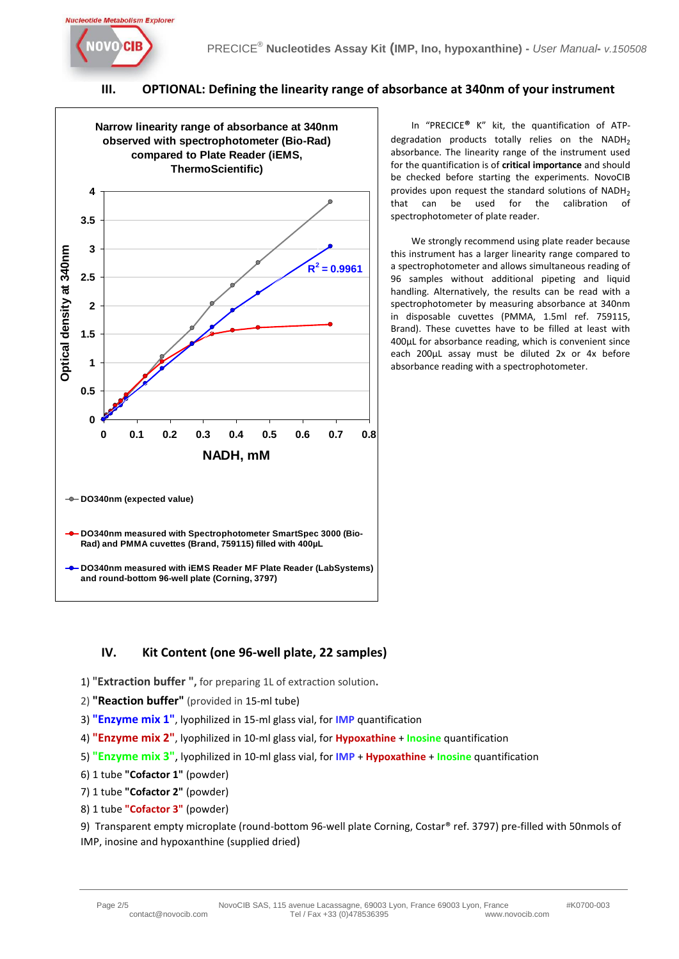

## **III. OPTIONAL: Defining the linearity range of absorbance at 340nm of your instrument**



In "PRECICE**®** K" kit, the quantification of ATPdegradation products totally relies on the NADH<sub>2</sub> absorbance. The linearity range of the instrument used for the quantification is of **critical importance** and should be checked before starting the experiments. NovoCIB provides upon request the standard solutions of  $NADH<sub>2</sub>$ that can be used for the calibration of spectrophotometer of plate reader.

We strongly recommend using plate reader because this instrument has a larger linearity range compared to a spectrophotometer and allows simultaneous reading of 96 samples without additional pipeting and liquid handling. Alternatively, the results can be read with a spectrophotometer by measuring absorbance at 340nm in disposable cuvettes (PMMA, 1.5ml ref. 759115, Brand). These cuvettes have to be filled at least with 400µL for absorbance reading, which is convenient since each 200µL assay must be diluted 2x or 4x before absorbance reading with a spectrophotometer.

## **IV. Kit Content (one 96-well plate, 22 samples)**

- 1) "**Extraction buffer ",** for preparing 1L of extraction solution**.**
- 2) **"Reaction buffer"** (provided in 15-ml tube)
- 3) **"Enzyme mix 1"**, lyophilized in 15-ml glass vial, for **IMP** quantification
- 4) **"Enzyme mix 2"**, lyophilized in 10-ml glass vial, for **Hypoxathine** + **Inosine** quantification
- 5) **"Enzyme mix 3"**, lyophilized in 10-ml glass vial, for **IMP** + **Hypoxathine** + **Inosine** quantification
- 6) 1 tube **"Cofactor 1"** (powder)
- 7) 1 tube **"Cofactor 2"** (powder)
- 8) 1 tube **"Cofactor 3"** (powder)

9) Transparent empty microplate (round-bottom 96-well plate Corning, Costar® ref. 3797) pre-filled with 50nmols of IMP, inosine and hypoxanthine (supplied dried)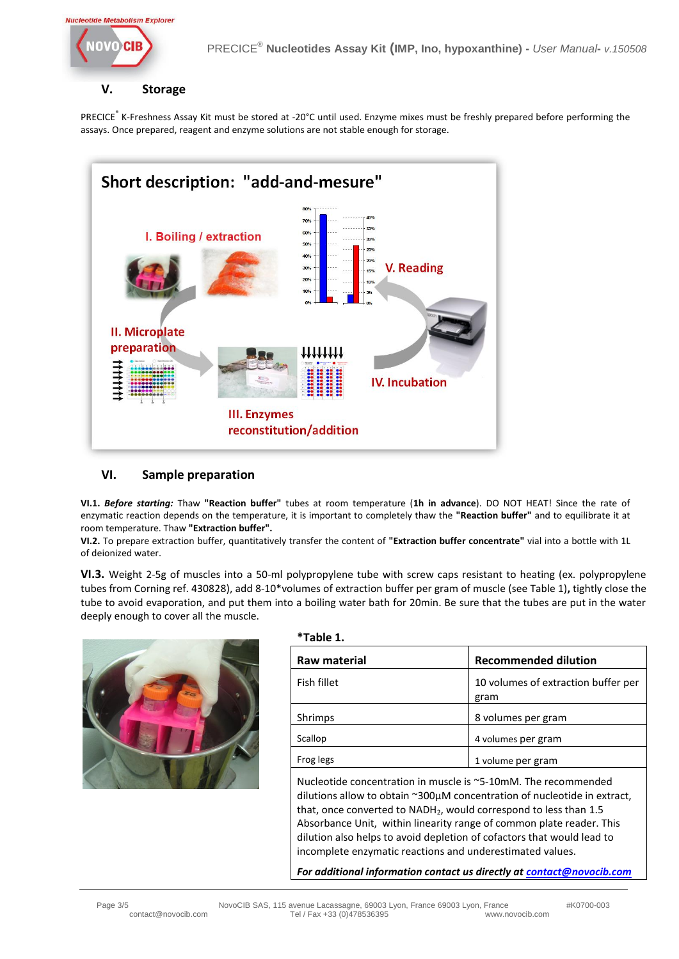

## **V. Storage**

PRECICE<sup>®</sup> K-Freshness Assay Kit must be stored at -20°C until used. Enzyme mixes must be freshly prepared before performing the assays. Once prepared, reagent and enzyme solutions are not stable enough for storage.



## **VI. Sample preparation**

**VI.1.** *Before starting:* Thaw **"Reaction buffer"** tubes at room temperature (**1h in advance**). DO NOT HEAT! Since the rate of enzymatic reaction depends on the temperature, it is important to completely thaw the **"Reaction buffer"** and to equilibrate it at room temperature. Thaw **"Extraction buffer".**

**VI.2.** To prepare extraction buffer, quantitatively transfer the content of **"Extraction buffer concentrate"** vial into a bottle with 1L of deionized water.

**VI.3.** Weight 2-5g of muscles into a 50-ml polypropylene tube with screw caps resistant to heating (ex. polypropylene tubes from Corning ref. 430828), add 8-10\*volumes of extraction buffer per gram of muscle (see Table 1)**,** tightly close the tube to avoid evaporation, and put them into a boiling water bath for 20min. Be sure that the tubes are put in the water deeply enough to cover all the muscle.

**\*Table 1.** 



| Raw material | <b>Recommended dilution</b>                 |
|--------------|---------------------------------------------|
| Fish fillet  | 10 volumes of extraction buffer per<br>gram |
| Shrimps      | 8 volumes per gram                          |
| Scallop      | 4 volumes per gram                          |
| Frog legs    | 1 volume per gram                           |

Nucleotide concentration in muscle is ~5-10mM. The recommended dilutions allow to obtain ~300µM concentration of nucleotide in extract, that, once converted to  $NADH<sub>2</sub>$ , would correspond to less than 1.5 Absorbance Unit, within linearity range of common plate reader. This dilution also helps to avoid depletion of cofactors that would lead to incomplete enzymatic reactions and underestimated values.

*For additional information contact us directly a[t contact@novocib.com](mailto:contact@novocib.com)*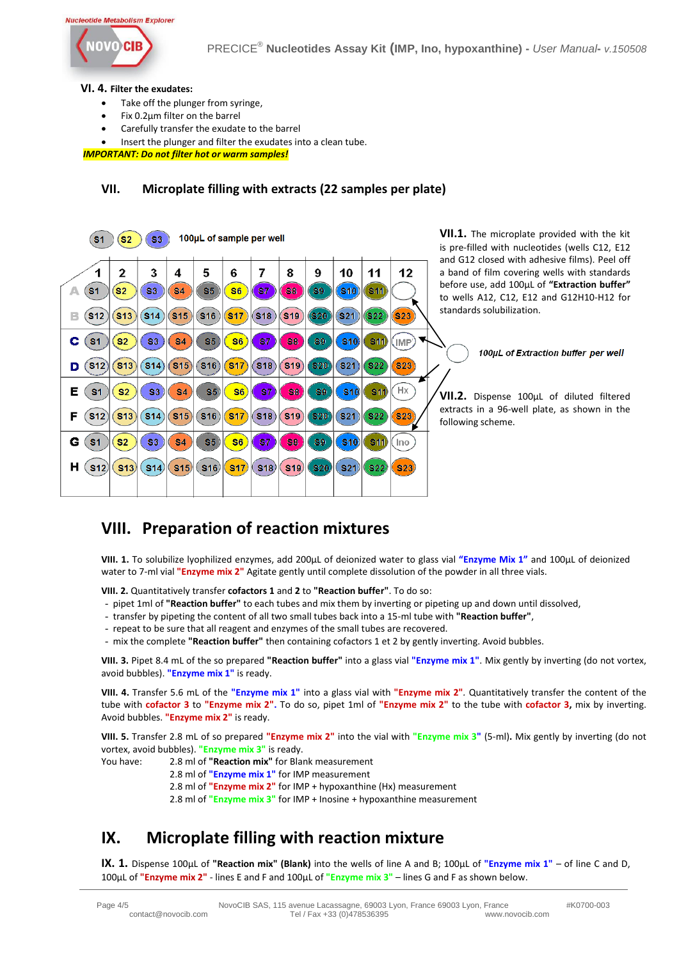#### **Nucleotide Metabolism Explorer**



#### **VI. 4. Filter the exudates:**

- Take off the plunger from syringe,
- Fix 0.2µm filter on the barrel
- Carefully transfer the exudate to the barrel
- Insert the plunger and filter the exudates into a clean tube.

*IMPORTANT: Do not filter hot or warm samples!*

#### **VII. Microplate filling with extracts (22 samples per plate)**

| 100µL of sample per well<br>S <sub>3</sub><br>S1<br>S2 |                                                                                                 |                                   |                                   |                             |                       |                                  |                                           |                                      |                                      |                                                    | <b>VII.1.</b> The microplate provided with the kit<br>is pre-filled with nucleotides (wells C12, E12 |                                                                                                                                                                                                                         |
|--------------------------------------------------------|-------------------------------------------------------------------------------------------------|-----------------------------------|-----------------------------------|-----------------------------|-----------------------|----------------------------------|-------------------------------------------|--------------------------------------|--------------------------------------|----------------------------------------------------|------------------------------------------------------------------------------------------------------|-------------------------------------------------------------------------------------------------------------------------------------------------------------------------------------------------------------------------|
| <b>S1</b><br>в<br><b>S12</b>                           | 2<br>S <sub>2</sub><br>$\left[\textcolor{blue}{\mathbf{S}}\textcolor{blue}{\mathbf{13}}\right]$ | 3<br><b>S3</b><br>S14             | 4<br>S <sub>4</sub><br>$(s_{15})$ | 5.<br>85<br>$\mathbf{S}$ 16 | 6<br>S6<br>$(s_{17})$ | 87<br>(S18)                      | 8<br>83<br>$(s_1)$                        | 9<br>89<br>$(s_{20})$                | 10<br>$\mathbf{S}$ 10)<br>$(s_{21})$ | 11<br>$\left( \text{S11} \right)$<br>$ S22\rangle$ | 12<br>(S23)                                                                                          | and G12 closed with adhesive films). Peel off<br>a band of film covering wells with standards<br>before use, add 100µL of "Extraction buffer"<br>to wells A12, C12, E12 and G12H10-H12 for<br>standards solubilization. |
| С<br>S <sub>1</sub><br>S12)<br>D                       | S <sub>2</sub><br>(S13)                                                                         | S3<br>$^{\prime}$ S14 $^{\prime}$ | S <sub>4</sub><br>$\mathsf{S}15)$ | S5<br>(S16)                 | S6<br>S17             | 87<br>$\mathsf{S}18)$            | $\mathbb{S}\mathbb{S}$<br>$\mathsf{S}$ 19 | $_{\rm S9}$<br>\$20                  | $ S10\rangle$<br><b>S21</b>          | <b>S11</b><br>S <sub>22</sub>                      | (IMP)<br>$ S23\rangle$                                                                               | 100µL of Extraction buffer per well                                                                                                                                                                                     |
| Е<br>S <sub>1</sub><br>F<br><b>S12</b>                 | S <sub>2</sub><br>$ $ S13 $ $                                                                   | S3<br>$\mathbf{S}$ 14             | S <sub>4</sub><br>$s_{15}$        | $ S5\rangle$<br>$s_{16}$    | $ S6\rangle$<br>s17   | $\mathbb{S}7$<br>s <sub>18</sub> | <b>E8</b><br>$(s_{19})$                   | S9<br>$\left  $ \$20 $\right\rangle$ | S10<br><b>S21</b>                    | 311<br>$\left  \text{S22}\right\rangle$            | Hx<br>$\left($ S23)                                                                                  | <b>VII.2.</b> Dispense 100µL of diluted filtered<br>extracts in a 96-well plate, as shown in the<br>following scheme.                                                                                                   |
| G<br>S <sub>1</sub><br>н<br>$\vert$ S12                | S2<br>$\mathbf{S}$ 13)                                                                          | 83<br>S(14)                       | <b>S4</b><br>$\vert$ S15)         | S5.<br>\$16)                | S6<br>S <sub>17</sub> | 837<br>$\vert$ S18)              | 58<br>S(19)                               | 89<br>$\ket{820}$                    | S(10)<br>$ S21\rangle$               | 311<br>$ S22\rangle$                               | Ino<br>$ S23\rangle$                                                                                 |                                                                                                                                                                                                                         |

# **VIII. Preparation of reaction mixtures**

**VIII. 1.** To solubilize lyophilized enzymes, add 200µL of deionized water to glass vial **"Enzyme Mix 1"** and 100µL of deionized water to 7-ml vial **"Enzyme mix 2"** Agitate gently until complete dissolution of the powder in all three vials.

**VIII. 2.** Quantitatively transfer **cofactors 1** and **2** to **"Reaction buffer"**. To do so:

- pipet 1ml of **"Reaction buffer"** to each tubes and mix them by inverting or pipeting up and down until dissolved,
- transfer by pipeting the content of all two small tubes back into a 15-ml tube with **"Reaction buffer"**,
- repeat to be sure that all reagent and enzymes of the small tubes are recovered.
- mix the complete **"Reaction buffer"** then containing cofactors 1 et 2 by gently inverting. Avoid bubbles.

**VIII. 3.** Pipet 8.4 mL of the so prepared **"Reaction buffer"** into a glass vial **"Enzyme mix 1"**. Mix gently by inverting (do not vortex, avoid bubbles). **"Enzyme mix 1"** is ready.

**VIII. 4.** Transfer 5.6 mL of the **"Enzyme mix 1"** into a glass vial with **"Enzyme mix 2"***.* Quantitatively transfer the content of the tube with **cofactor 3** to **"Enzyme mix 2".** To do so, pipet 1ml of **"Enzyme mix 2"** to the tube with **cofactor 3,** mix by inverting. Avoid bubbles. **"Enzyme mix 2"** is ready.

**VIII. 5.** Transfer 2.8 mL of so prepared **"Enzyme mix 2"** into the vial with **"Enzyme mix 3"** (5-ml)**.** Mix gently by inverting (do not vortex, avoid bubbles). **"Enzyme mix 3"** is ready.

You have: 2.8 ml of **"Reaction mix"** for Blank measurement

2.8 ml of **"Enzyme mix 1"** for IMP measurement

2.8 ml of **"Enzyme mix 2"** for IMP + hypoxanthine (Hx) measurement

2.8 ml of **"Enzyme mix 3"** for IMP + Inosine + hypoxanthine measurement

# **IX. Microplate filling with reaction mixture**

**IX. 1.** Dispense 100µL of **"Reaction mix" (Blank)** into the wells of line A and B; 100µL of **"Enzyme mix 1"** – of line C and D, 100µL of **"Enzyme mix 2"** - lines E and F and 100µL of **"Enzyme mix 3"** – lines G and F as shown below.